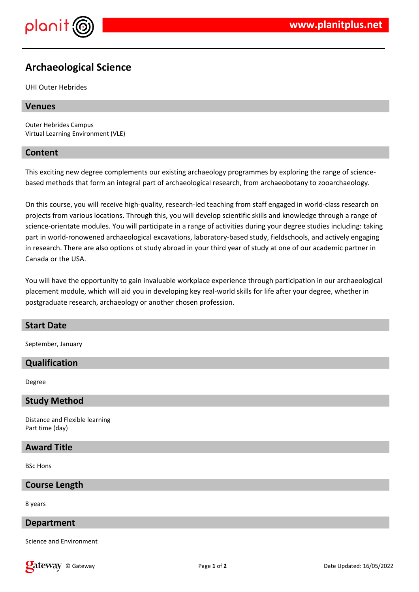

# **Archaeological Science**

UHI Outer Hebrides

## **Venues**

Outer Hebrides Campus Virtual Learning Environment (VLE)

## **Content**

This exciting new degree complements our existing archaeology programmes by exploring the range of sciencebased methods that form an integral part of archaeological research, from archaeobotany to zooarchaeology.

On this course, you will receive high-quality, research-led teaching from staff engaged in world-class research on projects from various locations. Through this, you will develop scientific skills and knowledge through a range of science-orientate modules. You will participate in a range of activities during your degree studies including: taking part in world-ronowened archaeological excavations, laboratory-based study, fieldschools, and actively engaging in research. There are also options ot study abroad in your third year of study at one of our academic partner in Canada or the USA.

You will have the opportunity to gain invaluable workplace experience through participation in our archaeological placement module, which will aid you in developing key real-world skills for life after your degree, whether in postgraduate research, archaeology or another chosen profession.

# **Start Date**

September, January

# **Qualification**

Degree

#### **Study Method**

Distance and Flexible learning Part time (day)

# **Award Title**

BSc Hons

#### **Course Length**

8 years

#### **Department**

Science and Environment

**Call Example 1** of **2** Date Updated: 16/05/2022 **Page 1** of **2 Date Updated: 16/05/2022**